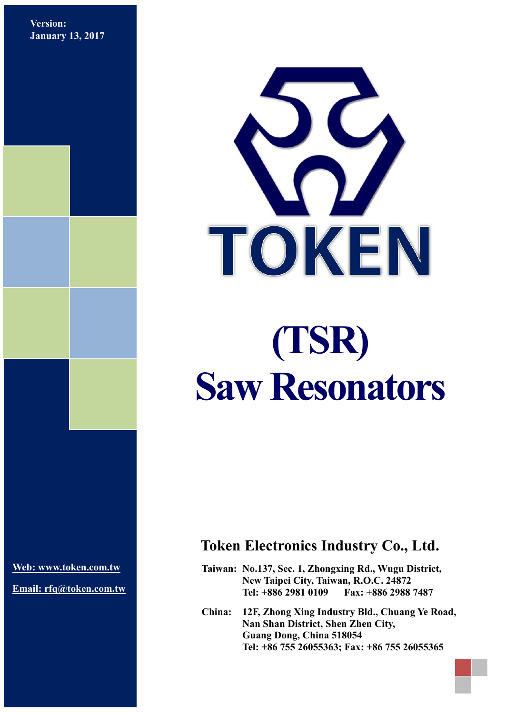**Version: January 13, 2017**



**[Web: www.token.com.tw](http://www.token.com.tw/)**

**Email: rfq@token.com.tw**

### **Token Electronics Industry Co., Ltd.**

**Taiwan: No.137, Sec. 1, Zhongxing Rd., Wugu District, New Taipei City, Taiwan, R.O.C. 24872 Tel: +886 2981 0109 Fax: +886 2988 7487**

**China: 12F, Zhong Xing Industry Bld., Chuang Ye Road, Nan Shan District, Shen Zhen City, Guang Dong, China 518054 Tel: +86 755 26055363; Fax: +86 755 26055365**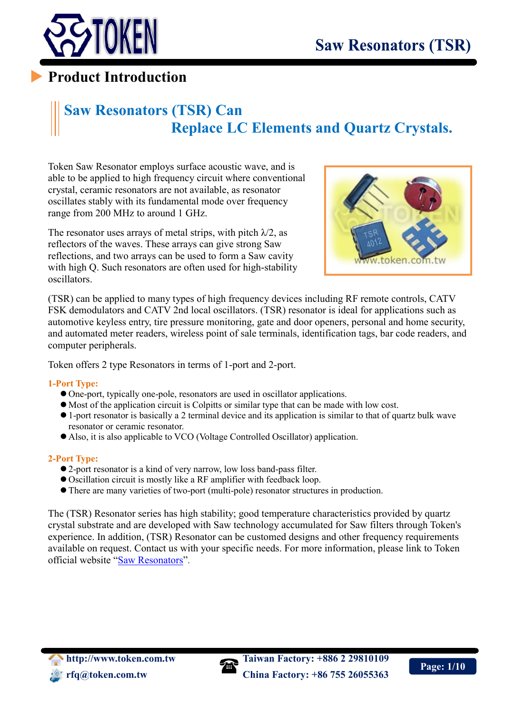

### **Product Introduction**

## **Saw Resonators (TSR) Can Replace LC Elements and Quartz Crystals.**

Token Saw Resonator employs surface acoustic wave, and is able to be applied to high frequency circuit where conventional crystal, ceramic resonators are not available, as resonator oscillates stably with its fundamental mode over frequency range from 200 MHz to around 1 GHz.

The resonator uses arrays of metal strips, with pitch  $\lambda/2$ , as reflectors of the waves. These arrays can give strong Saw reflections, and two arrays can be used to form a Saw cavity with high Q. Such resonators are often used for high-stability oscillators.



(TSR) can be applied to many types of high frequency devices including RF remote controls, CATV FSK demodulators and CATV 2nd local oscillators. (TSR) resonator is ideal for applications such as automotive keyless entry, tire pressure monitoring, gate and door openers, personal and home security, and automated meter readers, wireless point of sale terminals, identification tags, bar code readers, and computer peripherals.

Token offers 2 type Resonators in terms of 1-port and 2-port.

#### **1-Port Type:**

- One-port, typically one-pole, resonators are used in oscillator applications.
- Most of the application circuit is Colpitts or similar type that can be made with low cost.
- 1-port resonator is basically a 2 terminal device and its application is similar to that of quartz bulk wave resonator or ceramic resonator.
- Also, it is also applicable to VCO (Voltage Controlled Oscillator) application.

#### **2-Port Type:**

- 2-port resonator is a kind of very narrow, low loss band-pass filter.
- Oscillation circuit is mostly like a RF amplifier with feedback loop.
- There are many varieties of two-port (multi-pole) resonator structures in production.

The (TSR) Resonator series has high stability; good temperature characteristics provided by quartz crystal substrate and are developed with Saw technology accumulated for Saw filters through Token's experience. In addition, (TSR) Resonator can be customed designs and other frequency requirements available on request. Contact us with your specific needs. For more information, please link to Token official website "[Saw](http://www.token.com.tw/ceramic-discriminator/index.html) [Resonators](http://www.token.com.tw/saw/index.html)".

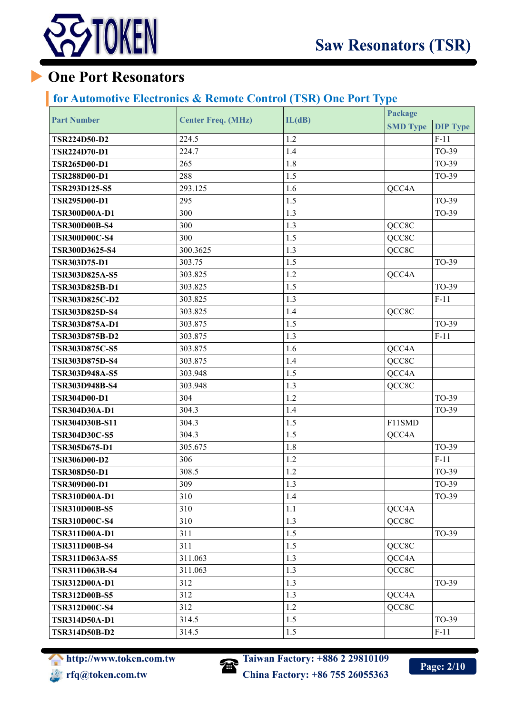

## **One Port Resonators**

#### **for Automotive Electronics & Remote Control (TSR) One Port Type**

| <b>Part Number</b>    | <b>Center Freq. (MHz)</b> | IL(dB) | Package         |                 |
|-----------------------|---------------------------|--------|-----------------|-----------------|
|                       |                           |        | <b>SMD Type</b> | <b>DIP Type</b> |
| <b>TSR224D50-D2</b>   | 224.5                     | 1.2    |                 | $F-11$          |
| <b>TSR224D70-D1</b>   | 224.7                     | 1.4    |                 | TO-39           |
| <b>TSR265D00-D1</b>   | 265                       | 1.8    |                 | TO-39           |
| <b>TSR288D00-D1</b>   | 288                       | 1.5    |                 | TO-39           |
| <b>TSR293D125-S5</b>  | 293.125                   | 1.6    | QCC4A           |                 |
| <b>TSR295D00-D1</b>   | 295                       | 1.5    |                 | TO-39           |
| <b>TSR300D00A-D1</b>  | 300                       | 1.3    |                 | TO-39           |
| <b>TSR300D00B-S4</b>  | 300                       | 1.3    | QCC8C           |                 |
| <b>TSR300D00C-S4</b>  | 300                       | 1.5    | QCC8C           |                 |
| <b>TSR300D3625-S4</b> | 300.3625                  | 1.3    | QCC8C           |                 |
| <b>TSR303D75-D1</b>   | 303.75                    | 1.5    |                 | TO-39           |
| TSR303D825A-S5        | 303.825                   | 1.2    | QCC4A           |                 |
| TSR303D825B-D1        | 303.825                   | 1.5    |                 | TO-39           |
| <b>TSR303D825C-D2</b> | 303.825                   | 1.3    |                 | $F-11$          |
| <b>TSR303D825D-S4</b> | 303.825                   | 1.4    | QCC8C           |                 |
| TSR303D875A-D1        | 303.875                   | 1.5    |                 | TO-39           |
| <b>TSR303D875B-D2</b> | 303.875                   | 1.3    |                 | $F-11$          |
| <b>TSR303D875C-S5</b> | 303.875                   | 1.6    | QCC4A           |                 |
| <b>TSR303D875D-S4</b> | 303.875                   | 1.4    | QCC8C           |                 |
| TSR303D948A-S5        | 303.948                   | 1.5    | QCC4A           |                 |
| <b>TSR303D948B-S4</b> | 303.948                   | 1.3    | QCC8C           |                 |
| <b>TSR304D00-D1</b>   | 304                       | 1.2    |                 | TO-39           |
| <b>TSR304D30A-D1</b>  | 304.3                     | 1.4    |                 | TO-39           |
| <b>TSR304D30B-S11</b> | 304.3                     | 1.5    | F11SMD          |                 |
| <b>TSR304D30C-S5</b>  | 304.3                     | 1.5    | QCC4A           |                 |
| TSR305D675-D1         | 305.675                   | 1.8    |                 | TO-39           |
| <b>TSR306D00-D2</b>   | 306                       | 1.2    |                 | $F-11$          |
| <b>TSR308D50-D1</b>   | 308.5                     | 1.2    |                 | TO-39           |
| <b>TSR309D00-D1</b>   | 309                       | 1.3    |                 | TO-39           |
| <b>TSR310D00A-D1</b>  | 310                       | 1.4    |                 | TO-39           |
| <b>TSR310D00B-S5</b>  | 310                       | 1.1    | QCC4A           |                 |
| <b>TSR310D00C-S4</b>  | 310                       | 1.3    | QCC8C           |                 |
| <b>TSR311D00A-D1</b>  | 311                       | 1.5    |                 | TO-39           |
| <b>TSR311D00B-S4</b>  | 311                       | 1.5    | QCC8C           |                 |
| TSR311D063A-S5        | 311.063                   | 1.3    | QCC4A           |                 |
| TSR311D063B-S4        | 311.063                   | 1.3    | QCC8C           |                 |
| TSR312D00A-D1         | 312                       | 1.3    |                 | TO-39           |
| <b>TSR312D00B-S5</b>  | 312                       | 1.3    | QCC4A           |                 |
| <b>TSR312D00C-S4</b>  | 312                       | 1.2    | QCC8C           |                 |
| <b>TSR314D50A-D1</b>  | 314.5                     | 1.5    |                 | TO-39           |
| <b>TSR314D50B-D2</b>  | 314.5                     | 1.5    |                 | $F-11$          |



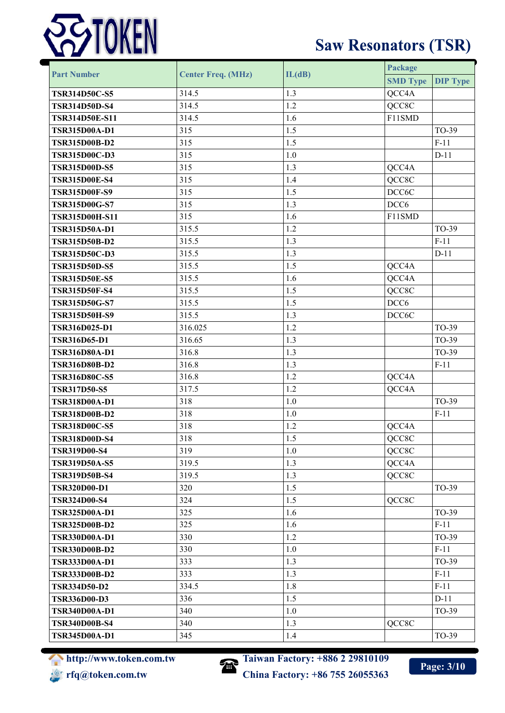

|                       | <b>Center Freq. (MHz)</b> | IL(dB) | Package          |                 |  |
|-----------------------|---------------------------|--------|------------------|-----------------|--|
| <b>Part Number</b>    |                           |        | <b>SMD Type</b>  | <b>DIP Type</b> |  |
| <b>TSR314D50C-S5</b>  | 314.5                     | 1.3    | QCC4A            |                 |  |
| <b>TSR314D50D-S4</b>  | 314.5                     | 1.2    | QCC8C            |                 |  |
| <b>TSR314D50E-S11</b> | 314.5                     | 1.6    | F11SMD           |                 |  |
| <b>TSR315D00A-D1</b>  | 315                       | 1.5    |                  | TO-39           |  |
| <b>TSR315D00B-D2</b>  | 315                       | 1.5    |                  | $F-11$          |  |
| <b>TSR315D00C-D3</b>  | 315                       | $1.0$  |                  | $D-11$          |  |
| <b>TSR315D00D-S5</b>  | 315                       | 1.3    | QCC4A            |                 |  |
| <b>TSR315D00E-S4</b>  | 315                       | 1.4    | QCC8C            |                 |  |
| <b>TSR315D00F-S9</b>  | 315                       | 1.5    | DCC6C            |                 |  |
| <b>TSR315D00G-S7</b>  | 315                       | 1.3    | DCC <sub>6</sub> |                 |  |
| TSR315D00H-S11        | 315                       | 1.6    | F11SMD           |                 |  |
| TSR315D50A-D1         | 315.5                     | 1.2    |                  | TO-39           |  |
| <b>TSR315D50B-D2</b>  | 315.5                     | 1.3    |                  | $F-11$          |  |
| <b>TSR315D50C-D3</b>  | 315.5                     | 1.3    |                  | $D-11$          |  |
| <b>TSR315D50D-S5</b>  | 315.5                     | 1.5    | QCC4A            |                 |  |
| <b>TSR315D50E-S5</b>  | 315.5                     | 1.6    | QCC4A            |                 |  |
| <b>TSR315D50F-S4</b>  | 315.5                     | 1.5    | QCC8C            |                 |  |
| <b>TSR315D50G-S7</b>  | 315.5                     | 1.5    | DCC <sub>6</sub> |                 |  |
| <b>TSR315D50H-S9</b>  | 315.5                     | 1.3    | DCC6C            |                 |  |
| TSR316D025-D1         | 316.025                   | 1.2    |                  | TO-39           |  |
| <b>TSR316D65-D1</b>   | 316.65                    | 1.3    |                  | TO-39           |  |
| <b>TSR316D80A-D1</b>  | 316.8                     | 1.3    |                  | TO-39           |  |
| <b>TSR316D80B-D2</b>  | 316.8                     | 1.3    |                  | $F-11$          |  |
| <b>TSR316D80C-S5</b>  | 316.8                     | 1.2    | QCC4A            |                 |  |
| <b>TSR317D50-S5</b>   | 317.5                     | 1.2    | QCC4A            |                 |  |
| <b>TSR318D00A-D1</b>  | 318                       | $1.0$  |                  | TO-39           |  |
| <b>TSR318D00B-D2</b>  | 318                       | 1.0    |                  | $F-11$          |  |
| <b>TSR318D00C-S5</b>  | 318                       | 1.2    | QCC4A            |                 |  |
| <b>TSR318D00D-S4</b>  | 318                       | 1.5    | QCC8C            |                 |  |
| <b>TSR319D00-S4</b>   | 319                       | 1.0    | QCC8C            |                 |  |
| <b>TSR319D50A-S5</b>  | 319.5                     | 1.3    | QCC4A            |                 |  |
| <b>TSR319D50B-S4</b>  | 319.5                     | 1.3    | QCC8C            |                 |  |
| <b>TSR320D00-D1</b>   | 320                       | 1.5    |                  | TO-39           |  |
| <b>TSR324D00-S4</b>   | 324                       | 1.5    | QCC8C            |                 |  |
| <b>TSR325D00A-D1</b>  | 325                       | 1.6    |                  | TO-39           |  |
| <b>TSR325D00B-D2</b>  | 325                       | 1.6    |                  | $F-11$          |  |
| <b>TSR330D00A-D1</b>  | 330                       | 1.2    |                  | TO-39           |  |
| <b>TSR330D00B-D2</b>  | 330                       | 1.0    |                  | $F-11$          |  |
| <b>TSR333D00A-D1</b>  | 333                       | 1.3    |                  | TO-39           |  |
| <b>TSR333D00B-D2</b>  | 333                       | 1.3    |                  | $F-11$          |  |
| <b>TSR334D50-D2</b>   | 334.5                     | 1.8    |                  | $F-11$          |  |
| <b>TSR336D00-D3</b>   | 336                       | 1.5    |                  | $D-11$          |  |
| <b>TSR340D00A-D1</b>  | 340                       | 1.0    |                  | TO-39           |  |
| <b>TSR340D00B-S4</b>  | 340                       | 1.3    | QCC8C            |                 |  |
| <b>TSR345D00A-D1</b>  | 345                       | 1.4    |                  | TO-39           |  |





**Page: 3/10**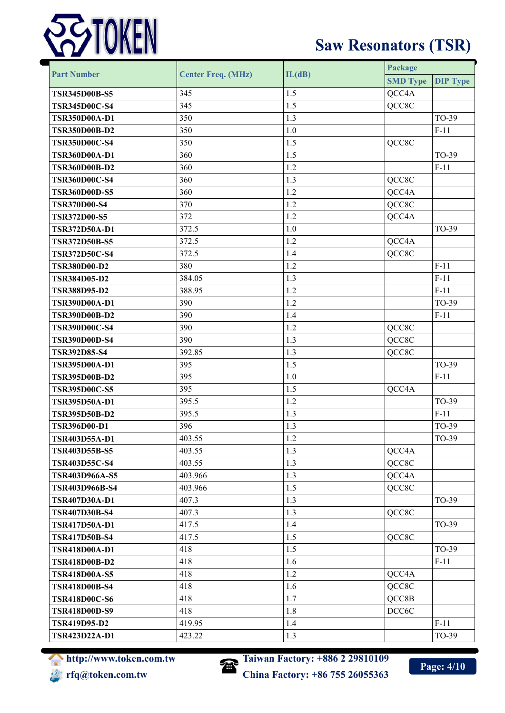

| <b>Part Number</b>    | <b>Center Freq. (MHz)</b> |         | Package         |                 |  |  |
|-----------------------|---------------------------|---------|-----------------|-----------------|--|--|
|                       |                           | IL(dB)  | <b>SMD Type</b> | <b>DIP Type</b> |  |  |
| <b>TSR345D00B-S5</b>  | 345                       | 1.5     | QCC4A           |                 |  |  |
| <b>TSR345D00C-S4</b>  | 345                       | 1.5     | QCC8C           |                 |  |  |
| <b>TSR350D00A-D1</b>  | 350                       | 1.3     |                 | TO-39           |  |  |
| <b>TSR350D00B-D2</b>  | 350                       | 1.0     |                 | $F-11$          |  |  |
| <b>TSR350D00C-S4</b>  | 350                       | 1.5     | QCC8C           |                 |  |  |
| <b>TSR360D00A-D1</b>  | 360                       | 1.5     |                 | TO-39           |  |  |
| <b>TSR360D00B-D2</b>  | 360                       | 1.2     |                 | $F-11$          |  |  |
| <b>TSR360D00C-S4</b>  | 360                       | 1.3     | QCC8C           |                 |  |  |
| <b>TSR360D00D-S5</b>  | 360                       | 1.2     | QCC4A           |                 |  |  |
| <b>TSR370D00-S4</b>   | 370                       | 1.2     | QCC8C           |                 |  |  |
| <b>TSR372D00-S5</b>   | 372                       | 1.2     | QCC4A           |                 |  |  |
| <b>TSR372D50A-D1</b>  | 372.5                     | 1.0     |                 | TO-39           |  |  |
| <b>TSR372D50B-S5</b>  | 372.5                     | 1.2     | QCC4A           |                 |  |  |
| <b>TSR372D50C-S4</b>  | 372.5                     | 1.4     | QCC8C           |                 |  |  |
| <b>TSR380D00-D2</b>   | 380                       | 1.2     |                 | $F-11$          |  |  |
| <b>TSR384D05-D2</b>   | 384.05                    | 1.3     |                 | $F-11$          |  |  |
| <b>TSR388D95-D2</b>   | 388.95                    | 1.2     |                 | $F-11$          |  |  |
| <b>TSR390D00A-D1</b>  | 390                       | 1.2     |                 | TO-39           |  |  |
| <b>TSR390D00B-D2</b>  | 390                       | 1.4     |                 | $F-11$          |  |  |
| <b>TSR390D00C-S4</b>  | 390                       | 1.2     | QCC8C           |                 |  |  |
| <b>TSR390D00D-S4</b>  | 390                       | 1.3     | QCC8C           |                 |  |  |
| <b>TSR392D85-S4</b>   | 392.85                    | 1.3     | QCC8C           |                 |  |  |
| TSR395D00A-D1         | 395                       | 1.5     |                 | TO-39           |  |  |
| <b>TSR395D00B-D2</b>  | 395                       | 1.0     |                 | $F-11$          |  |  |
| <b>TSR395D00C-S5</b>  | 395                       | 1.5     | QCC4A           |                 |  |  |
| TSR395D50A-D1         | 395.5                     | 1.2     |                 | TO-39           |  |  |
| <b>TSR395D50B-D2</b>  | 395.5                     | 1.3     |                 | $F-11$          |  |  |
| <b>TSR396D00-D1</b>   | 396                       | 1.3     |                 | TO-39           |  |  |
| TSR403D55A-D1         | 403.55                    | $1.2\,$ |                 | TO-39           |  |  |
| <b>TSR403D55B-S5</b>  | 403.55                    | 1.3     | QCC4A           |                 |  |  |
| <b>TSR403D55C-S4</b>  | 403.55                    | 1.3     | QCC8C           |                 |  |  |
| <b>TSR403D966A-S5</b> | 403.966                   | 1.3     | QCC4A           |                 |  |  |
| TSR403D966B-S4        | 403.966                   | 1.5     | QCC8C           |                 |  |  |
| TSR407D30A-D1         | 407.3                     | 1.3     |                 | TO-39           |  |  |
| <b>TSR407D30B-S4</b>  | 407.3                     | 1.3     | QCC8C           |                 |  |  |
| <b>TSR417D50A-D1</b>  | 417.5                     | 1.4     |                 | TO-39           |  |  |
| <b>TSR417D50B-S4</b>  | 417.5                     | 1.5     | QCC8C           |                 |  |  |
| <b>TSR418D00A-D1</b>  | 418                       | 1.5     |                 | TO-39           |  |  |
| <b>TSR418D00B-D2</b>  | 418                       | 1.6     |                 | $F-11$          |  |  |
| <b>TSR418D00A-S5</b>  | 418                       | 1.2     | QCC4A           |                 |  |  |
| <b>TSR418D00B-S4</b>  | 418                       | 1.6     | QCC8C           |                 |  |  |
| <b>TSR418D00C-S6</b>  | 418                       | 1.7     | QCC8B           |                 |  |  |
| <b>TSR418D00D-S9</b>  | 418                       | 1.8     | DCC6C           |                 |  |  |
| <b>TSR419D95-D2</b>   | 419.95                    | 1.4     |                 | $F-11$          |  |  |
| TSR423D22A-D1         | 423.22                    | 1.3     |                 | TO-39           |  |  |



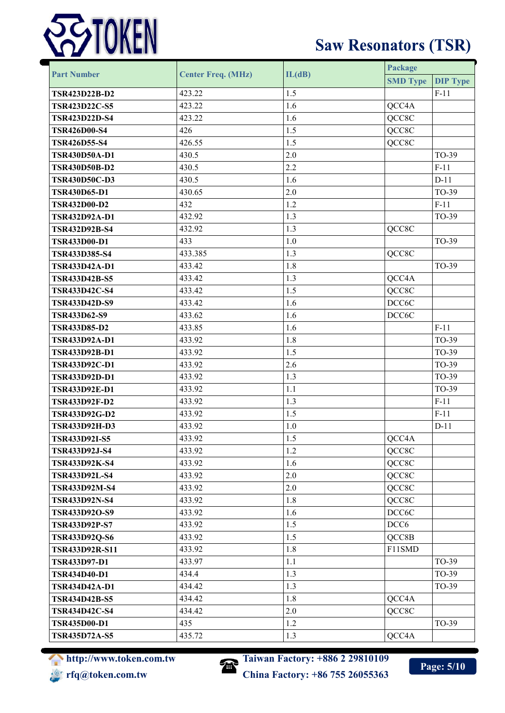

| <b>Part Number</b>   | <b>Center Freq. (MHz)</b> | IL(dB) | Package          |                 |
|----------------------|---------------------------|--------|------------------|-----------------|
|                      |                           |        | <b>SMD Type</b>  | <b>DIP Type</b> |
| <b>TSR423D22B-D2</b> | 423.22                    | 1.5    |                  | $F-11$          |
| <b>TSR423D22C-S5</b> | 423.22                    | 1.6    | QCC4A            |                 |
| <b>TSR423D22D-S4</b> | 423.22                    | 1.6    | QCC8C            |                 |
| <b>TSR426D00-S4</b>  | 426                       | 1.5    | QCC8C            |                 |
| <b>TSR426D55-S4</b>  | 426.55                    | 1.5    | QCC8C            |                 |
| <b>TSR430D50A-D1</b> | 430.5                     | 2.0    |                  | TO-39           |
| <b>TSR430D50B-D2</b> | 430.5                     | 2.2    |                  | $F-11$          |
| <b>TSR430D50C-D3</b> | 430.5                     | 1.6    |                  | $D-11$          |
| <b>TSR430D65-D1</b>  | 430.65                    | 2.0    |                  | TO-39           |
| <b>TSR432D00-D2</b>  | 432                       | 1.2    |                  | $F-11$          |
| TSR432D92A-D1        | 432.92                    | 1.3    |                  | TO-39           |
| <b>TSR432D92B-S4</b> | 432.92                    | 1.3    | QCC8C            |                 |
| <b>TSR433D00-D1</b>  | 433                       | $1.0$  |                  | TO-39           |
| <b>TSR433D385-S4</b> | 433.385                   | 1.3    | QCC8C            |                 |
| <b>TSR433D42A-D1</b> | 433.42                    | 1.8    |                  | TO-39           |
| <b>TSR433D42B-S5</b> | 433.42                    | 1.3    | QCC4A            |                 |
| <b>TSR433D42C-S4</b> | 433.42                    | 1.5    | QCC8C            |                 |
| <b>TSR433D42D-S9</b> | 433.42                    | 1.6    | DCC6C            |                 |
| <b>TSR433D62-S9</b>  | 433.62                    | 1.6    | DCC6C            |                 |
| <b>TSR433D85-D2</b>  | 433.85                    | 1.6    |                  | $F-11$          |
| <b>TSR433D92A-D1</b> | 433.92                    | 1.8    |                  | TO-39           |
| TSR433D92B-D1        | 433.92                    | 1.5    |                  | TO-39           |
| TSR433D92C-D1        | 433.92                    | 2.6    |                  | TO-39           |
| <b>TSR433D92D-D1</b> | 433.92                    | 1.3    |                  | TO-39           |
| <b>TSR433D92E-D1</b> | 433.92                    | 1.1    |                  | TO-39           |
| <b>TSR433D92F-D2</b> | 433.92                    | 1.3    |                  | $F-11$          |
| <b>TSR433D92G-D2</b> | 433.92                    | 1.5    |                  | $F-11$          |
| <b>TSR433D92H-D3</b> | 433.92                    | 1.0    |                  | $D-11$          |
| <b>TSR433D92I-S5</b> | 433.92                    | 1.5    | QCC4A            |                 |
| <b>TSR433D92J-S4</b> | 433.92                    | 1.2    | QCC8C            |                 |
| <b>TSR433D92K-S4</b> | 433.92                    | 1.6    | QCC8C            |                 |
| <b>TSR433D92L-S4</b> | 433.92                    | 2.0    | QCC8C            |                 |
| <b>TSR433D92M-S4</b> | 433.92                    | 2.0    | QCC8C            |                 |
| <b>TSR433D92N-S4</b> | 433.92                    | 1.8    | QCC8C            |                 |
| TSR433D92O-S9        | 433.92                    | 1.6    | DCC6C            |                 |
| <b>TSR433D92P-S7</b> | 433.92                    | 1.5    | DCC <sub>6</sub> |                 |
| TSR433D92Q-S6        | 433.92                    | 1.5    | QCC8B            |                 |
| TSR433D92R-S11       | 433.92                    | 1.8    | F11SMD           |                 |
| <b>TSR433D97-D1</b>  | 433.97                    | 1.1    |                  | TO-39           |
| <b>TSR434D40-D1</b>  | 434.4                     | 1.3    |                  | TO-39           |
| <b>TSR434D42A-D1</b> | 434.42                    | 1.3    |                  | TO-39           |
| <b>TSR434D42B-S5</b> | 434.42                    | 1.8    | QCC4A            |                 |
| <b>TSR434D42C-S4</b> | 434.42                    | 2.0    | QCC8C            |                 |
| <b>TSR435D00-D1</b>  | 435                       | 1.2    |                  | TO-39           |
| <b>TSR435D72A-S5</b> | 435.72                    | 1.3    | QCC4A            |                 |





**Page: 5/10**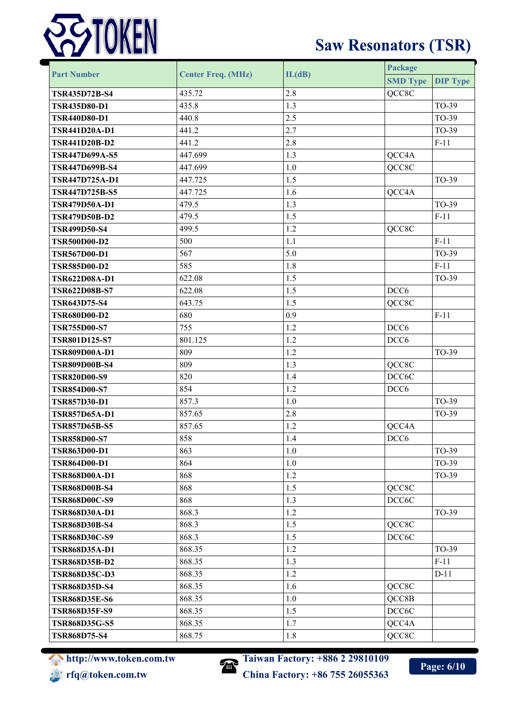

| <b>Part Number</b>    | <b>Center Freq. (MHz)</b> | IL(dB) | Package          |                 |
|-----------------------|---------------------------|--------|------------------|-----------------|
|                       |                           |        | <b>SMD Type</b>  | <b>DIP Type</b> |
| <b>TSR435D72B-S4</b>  | 435.72                    | 2.8    | QCC8C            |                 |
| <b>TSR435D80-D1</b>   | 435.8                     | 1.3    |                  | TO-39           |
| <b>TSR440D80-D1</b>   | 440.8                     | 2.5    |                  | TO-39           |
| <b>TSR441D20A-D1</b>  | 441.2                     | 2.7    |                  | TO-39           |
| <b>TSR441D20B-D2</b>  | 441.2                     | 2.8    |                  | $F-11$          |
| <b>TSR447D699A-S5</b> | 447.699                   | 1.3    | QCC4A            |                 |
| <b>TSR447D699B-S4</b> | 447.699                   | 1.0    | QCC8C            |                 |
| TSR447D725A-D1        | 447.725                   | 1.5    |                  | TO-39           |
| TSR447D725B-S5        | 447.725                   | 1.6    | QCC4A            |                 |
| <b>TSR479D50A-D1</b>  | 479.5                     | 1.3    |                  | TO-39           |
| <b>TSR479D50B-D2</b>  | 479.5                     | 1.5    |                  | $F-11$          |
| <b>TSR499D50-S4</b>   | 499.5                     | 1.2    | QCC8C            |                 |
| <b>TSR500D00-D2</b>   | 500                       | 1.1    |                  | $F-11$          |
| <b>TSR567D00-D1</b>   | 567                       | 5.0    |                  | TO-39           |
| <b>TSR585D00-D2</b>   | 585                       | 1.8    |                  | $F-11$          |
| TSR622D08A-D1         | 622.08                    | 1.5    |                  | TO-39           |
| <b>TSR622D08B-S7</b>  | 622.08                    | 1.5    | DCC <sub>6</sub> |                 |
| <b>TSR643D75-S4</b>   | 643.75                    | 1.5    | QCC8C            |                 |
| <b>TSR680D00-D2</b>   | 680                       | 0.9    |                  | $F-11$          |
| <b>TSR755D00-S7</b>   | 755                       | 1.2    | DCC <sub>6</sub> |                 |
| <b>TSR801D125-S7</b>  | 801.125                   | 1.2    | DCC <sub>6</sub> |                 |
| <b>TSR809D00A-D1</b>  | 809                       | 1.2    |                  | TO-39           |
| <b>TSR809D00B-S4</b>  | 809                       | 1.3    | QCC8C            |                 |
| <b>TSR820D00-S9</b>   | 820                       | 1.4    | DCC6C            |                 |
| <b>TSR854D00-S7</b>   | 854                       | 1.2    | DCC <sub>6</sub> |                 |
| <b>TSR857D30-D1</b>   | 857.3                     | 1.0    |                  | TO-39           |
| <b>TSR857D65A-D1</b>  | 857.65                    | 2.8    |                  | TO-39           |
| <b>TSR857D65B-S5</b>  | 857.65                    | 1.2    | QCC4A            |                 |
| <b>TSR858D00-S7</b>   | 858                       | 1.4    | DCC <sub>6</sub> |                 |
| <b>TSR863D00-D1</b>   | 863                       | 1.0    |                  | TO-39           |
| <b>TSR864D00-D1</b>   | 864                       | 1.0    |                  | TO-39           |
| <b>TSR868D00A-D1</b>  | 868                       | 1.2    |                  | TO-39           |
| <b>TSR868D00B-S4</b>  | 868                       | 1.5    | QCC8C            |                 |
| <b>TSR868D00C-S9</b>  | 868                       | 1.3    | DCC6C            |                 |
| <b>TSR868D30A-D1</b>  | 868.3                     | 1.2    |                  | TO-39           |
| <b>TSR868D30B-S4</b>  | 868.3                     | 1.5    | QCC8C            |                 |
| <b>TSR868D30C-S9</b>  | 868.3                     | 1.5    | DCC6C            |                 |
| <b>TSR868D35A-D1</b>  | 868.35                    | 1.2    |                  | TO-39           |
| <b>TSR868D35B-D2</b>  | 868.35                    | 1.3    |                  | $F-11$          |
| <b>TSR868D35C-D3</b>  | 868.35                    | 1.2    |                  | $D-11$          |
| <b>TSR868D35D-S4</b>  | 868.35                    | 1.6    | QCC8C            |                 |
| <b>TSR868D35E-S6</b>  | 868.35                    | 1.0    | QCC8B            |                 |
| <b>TSR868D35F-S9</b>  | 868.35                    | 1.5    | DCC6C            |                 |
| <b>TSR868D35G-S5</b>  | 868.35                    | 1.7    | QCC4A            |                 |
| <b>TSR868D75-S4</b>   | 868.75                    | 1.8    | QCC8C            |                 |





**http://www.token.com/20810109**<br>China Factory: +86 755 26055262 **rfq@token.com.tw China Factory: +86 755 26055363**

**Page: 6/10**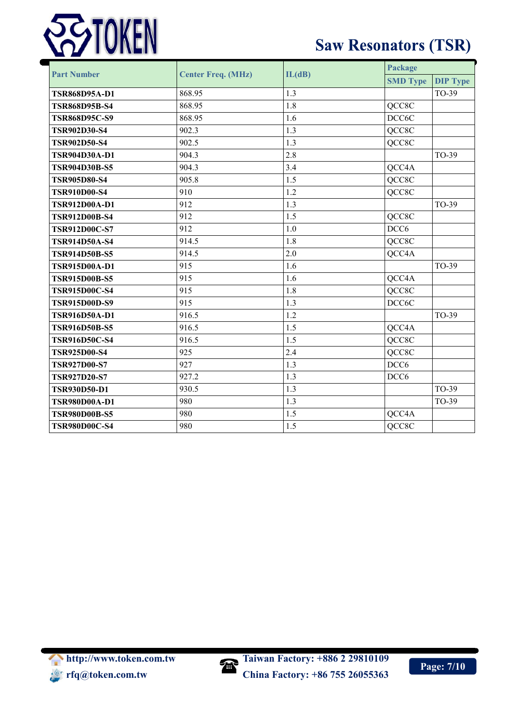

| <b>Part Number</b>   | <b>Center Freq. (MHz)</b> | IL(dB) | Package          |                 |
|----------------------|---------------------------|--------|------------------|-----------------|
|                      |                           |        | <b>SMD Type</b>  | <b>DIP Type</b> |
| <b>TSR868D95A-D1</b> | 868.95                    | 1.3    |                  | TO-39           |
| <b>TSR868D95B-S4</b> | 868.95                    | 1.8    | QCC8C            |                 |
| <b>TSR868D95C-S9</b> | 868.95                    | 1.6    | DCC6C            |                 |
| <b>TSR902D30-S4</b>  | 902.3                     | 1.3    | QCC8C            |                 |
| <b>TSR902D50-S4</b>  | 902.5                     | 1.3    | QCC8C            |                 |
| TSR904D30A-D1        | 904.3                     | 2.8    |                  | TO-39           |
| <b>TSR904D30B-S5</b> | 904.3                     | 3.4    | QCC4A            |                 |
| <b>TSR905D80-S4</b>  | 905.8                     | 1.5    | QCC8C            |                 |
| <b>TSR910D00-S4</b>  | 910                       | 1.2    | QCC8C            |                 |
| <b>TSR912D00A-D1</b> | 912                       | 1.3    |                  | TO-39           |
| <b>TSR912D00B-S4</b> | 912                       | 1.5    | QCC8C            |                 |
| <b>TSR912D00C-S7</b> | 912                       | 1.0    | DCC <sub>6</sub> |                 |
| TSR914D50A-S4        | 914.5                     | 1.8    | QCC8C            |                 |
| <b>TSR914D50B-S5</b> | 914.5                     | 2.0    | QCC4A            |                 |
| TSR915D00A-D1        | 915                       | 1.6    |                  | TO-39           |
| <b>TSR915D00B-S5</b> | 915                       | 1.6    | QCC4A            |                 |
| <b>TSR915D00C-S4</b> | 915                       | 1.8    | QCC8C            |                 |
| <b>TSR915D00D-S9</b> | 915                       | 1.3    | DCC6C            |                 |
| TSR916D50A-D1        | 916.5                     | 1.2    |                  | TO-39           |
| <b>TSR916D50B-S5</b> | 916.5                     | 1.5    | QCC4A            |                 |
| <b>TSR916D50C-S4</b> | 916.5                     | 1.5    | QCC8C            |                 |
| <b>TSR925D00-S4</b>  | 925                       | 2.4    | QCC8C            |                 |
| <b>TSR927D00-S7</b>  | 927                       | 1.3    | DCC <sub>6</sub> |                 |
| <b>TSR927D20-S7</b>  | 927.2                     | 1.3    | DCC <sub>6</sub> |                 |
| <b>TSR930D50-D1</b>  | 930.5                     | 1.3    |                  | TO-39           |
| <b>TSR980D00A-D1</b> | 980                       | 1.3    |                  | TO-39           |
| <b>TSR980D00B-S5</b> | 980                       | 1.5    | QCC4A            |                 |
| <b>TSR980D00C-S4</b> | 980                       | 1.5    | QCC8C            |                 |

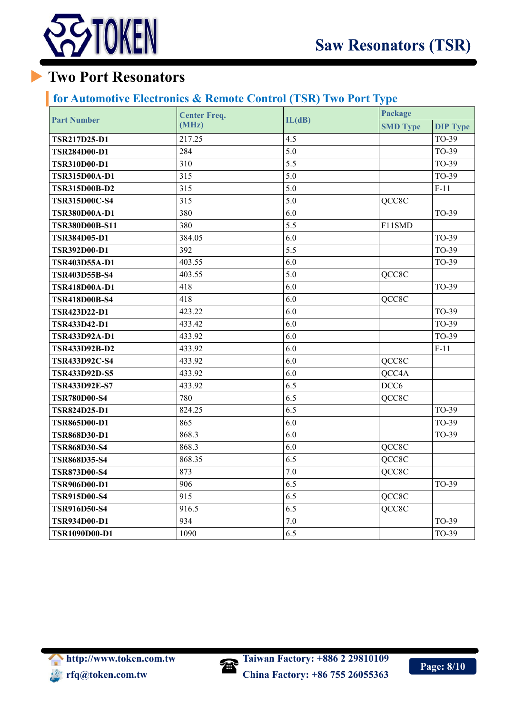

## **Two Port Resonators**

#### **for Automotive Electronics & Remote Control (TSR) Two Port Type**

| <b>Part Number</b>    | <b>Center Freq.</b><br>(MHz) | IL(dB)  | Package          |                 |
|-----------------------|------------------------------|---------|------------------|-----------------|
|                       |                              |         | <b>SMD Type</b>  | <b>DIP Type</b> |
| <b>TSR217D25-D1</b>   | 217.25                       | 4.5     |                  | TO-39           |
| <b>TSR284D00-D1</b>   | 284                          | 5.0     |                  | TO-39           |
| <b>TSR310D00-D1</b>   | 310                          | 5.5     |                  | TO-39           |
| <b>TSR315D00A-D1</b>  | 315                          | 5.0     |                  | TO-39           |
| <b>TSR315D00B-D2</b>  | 315                          | 5.0     |                  | $F-11$          |
| <b>TSR315D00C-S4</b>  | 315                          | 5.0     | QCC8C            |                 |
| <b>TSR380D00A-D1</b>  | 380                          | 6.0     |                  | TO-39           |
| <b>TSR380D00B-S11</b> | 380                          | 5.5     | F11SMD           |                 |
| <b>TSR384D05-D1</b>   | 384.05                       | 6.0     |                  | TO-39           |
| <b>TSR392D00-D1</b>   | 392                          | 5.5     |                  | TO-39           |
| TSR403D55A-D1         | 403.55                       | 6.0     |                  | TO-39           |
| <b>TSR403D55B-S4</b>  | 403.55                       | 5.0     | QCC8C            |                 |
| <b>TSR418D00A-D1</b>  | 418                          | 6.0     |                  | TO-39           |
| <b>TSR418D00B-S4</b>  | 418                          | 6.0     | QCC8C            |                 |
| TSR423D22-D1          | 423.22                       | 6.0     |                  | TO-39           |
| <b>TSR433D42-D1</b>   | 433.42                       | 6.0     |                  | TO-39           |
| TSR433D92A-D1         | 433.92                       | 6.0     |                  | TO-39           |
| <b>TSR433D92B-D2</b>  | 433.92                       | 6.0     |                  | $F-11$          |
| <b>TSR433D92C-S4</b>  | 433.92                       | 6.0     | QCC8C            |                 |
| <b>TSR433D92D-S5</b>  | 433.92                       | 6.0     | QCC4A            |                 |
| <b>TSR433D92E-S7</b>  | 433.92                       | 6.5     | DCC <sub>6</sub> |                 |
| <b>TSR780D00-S4</b>   | 780                          | 6.5     | QCC8C            |                 |
| <b>TSR824D25-D1</b>   | 824.25                       | 6.5     |                  | TO-39           |
| <b>TSR865D00-D1</b>   | 865                          | 6.0     |                  | TO-39           |
| <b>TSR868D30-D1</b>   | 868.3                        | 6.0     |                  | TO-39           |
| <b>TSR868D30-S4</b>   | 868.3                        | 6.0     | QCC8C            |                 |
| <b>TSR868D35-S4</b>   | 868.35                       | 6.5     | QCC8C            |                 |
| <b>TSR873D00-S4</b>   | 873                          | $7.0\,$ | QCC8C            |                 |
| <b>TSR906D00-D1</b>   | 906                          | 6.5     |                  | TO-39           |
| <b>TSR915D00-S4</b>   | 915                          | 6.5     | QCC8C            |                 |
| <b>TSR916D50-S4</b>   | 916.5                        | 6.5     | QCC8C            |                 |
| <b>TSR934D00-D1</b>   | 934                          | $7.0\,$ |                  | TO-39           |
| TSR1090D00-D1         | 1090                         | 6.5     |                  | TO-39           |

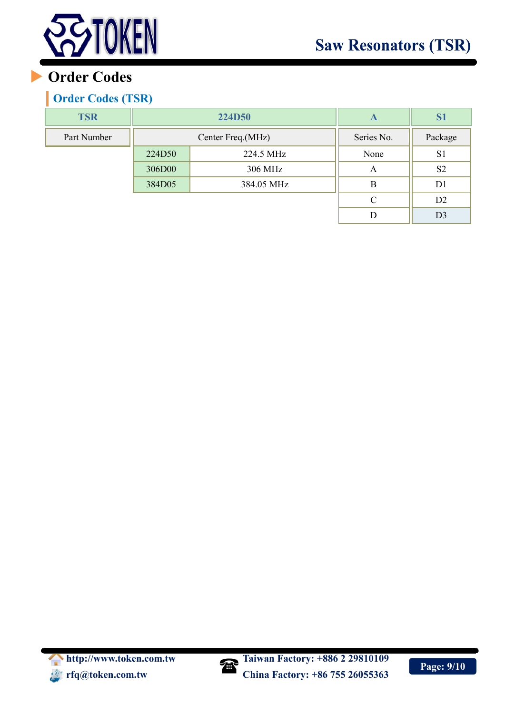

## **Order Codes**

### **Order Codes (TSR)**

| <b>TSR</b>  | <b>224D50</b>     |            | A             | S <sub>1</sub> |
|-------------|-------------------|------------|---------------|----------------|
| Part Number | Center Freq.(MHz) |            | Series No.    | Package        |
|             | 224D50            | 224.5 MHz  | None          | S <sub>1</sub> |
|             | 306D00            | 306 MHz    | A             | S <sub>2</sub> |
|             | 384D05            | 384.05 MHz | B             | D <sub>1</sub> |
|             |                   |            | $\mathcal{C}$ | D <sub>2</sub> |
|             |                   |            | D             | D <sub>3</sub> |